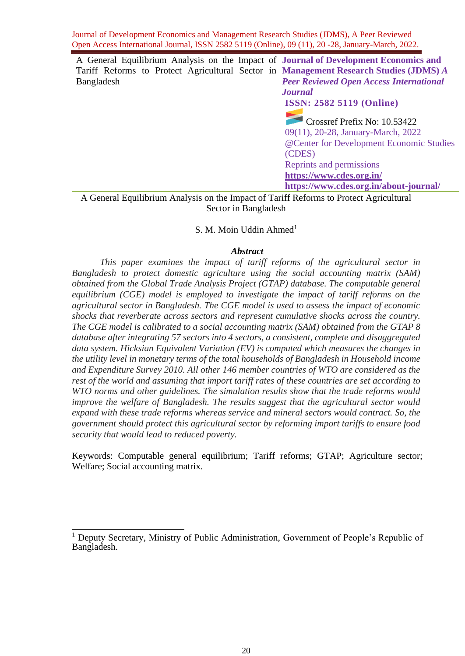A General Equilibrium Analysis on the Impact of **Journal of Development Economics and**  Tariff Reforms to Protect Agricultural Sector in **Management Research Studies (JDMS)** *A*  Bangladesh *Peer Reviewed Open Access International* 

*Journal* **ISSN: 2582 5119 (Online)**

Crossref Prefix No: 10.53422 09(11), 20-28, January-March, 2022 @Center for Development Economic Studies (CDES) Reprints and permissions **<https://www.cdes.org.in/> https://www.cdes.org.in/about-journal/**

A General Equilibrium Analysis on the Impact of Tariff Reforms to Protect Agricultural Sector in Bangladesh

#### S. M. Moin Uddin Ahmed $<sup>1</sup>$ </sup>

#### *Abstract*

*This paper examines the impact of tariff reforms of the agricultural sector in Bangladesh to protect domestic agriculture using the social accounting matrix (SAM) obtained from the Global Trade Analysis Project (GTAP) database. The computable general equilibrium (CGE) model is employed to investigate the impact of tariff reforms on the agricultural sector in Bangladesh. The CGE model is used to assess the impact of economic shocks that reverberate across sectors and represent cumulative shocks across the country. The CGE model is calibrated to a social accounting matrix (SAM) obtained from the GTAP 8 database after integrating 57 sectors into 4 sectors, a consistent, complete and disaggregated data system. Hicksian Equivalent Variation (EV) is computed which measures the changes in the utility level in monetary terms of the total households of Bangladesh in Household income and Expenditure Survey 2010. All other 146 member countries of WTO are considered as the rest of the world and assuming that import tariff rates of these countries are set according to WTO norms and other guidelines. The simulation results show that the trade reforms would improve the welfare of Bangladesh. The results suggest that the agricultural sector would expand with these trade reforms whereas service and mineral sectors would contract. So, the government should protect this agricultural sector by reforming import tariffs to ensure food security that would lead to reduced poverty.*

Keywords: Computable general equilibrium; Tariff reforms; GTAP; Agriculture sector; Welfare; Social accounting matrix.

<sup>&</sup>lt;sup>1</sup> Deputy Secretary, Ministry of Public Administration, Government of People's Republic of Bangladesh.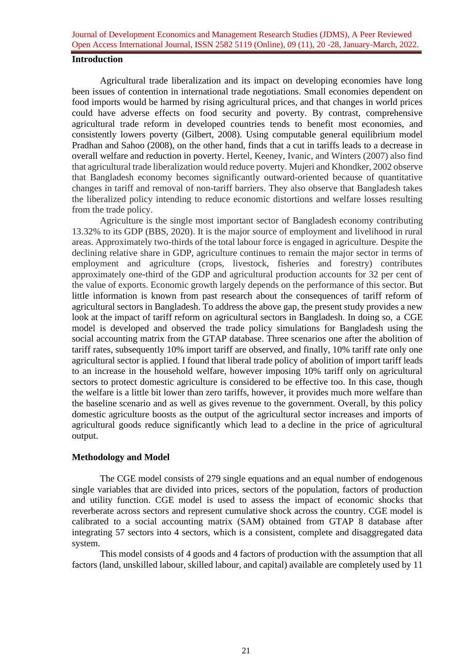#### **Introduction**

Agricultural trade liberalization and its impact on developing economies have long been issues of contention in international trade negotiations. Small economies dependent on food imports would be harmed by rising agricultural prices, and that changes in world prices could have adverse effects on food security and poverty. By contrast, comprehensive agricultural trade reform in developed countries tends to benefit most economies, and consistently lowers poverty (Gilbert, 2008). Using computable general equilibrium model Pradhan and Sahoo (2008), on the other hand, finds that a cut in tariffs leads to a decrease in overall welfare and reduction in poverty. Hertel, Keeney, Ivanic, and Winters (2007) also find that agricultural trade liberalization would reduce poverty. Mujeri and Khondker, 2002 observe that Bangladesh economy becomes significantly outward-oriented because of quantitative changes in tariff and removal of non-tariff barriers. They also observe that Bangladesh takes the liberalized policy intending to reduce economic distortions and welfare losses resulting from the trade policy.

Agriculture is the single most important sector of Bangladesh economy contributing 13.32% to its GDP (BBS, 2020). It is the major source of employment and livelihood in rural areas. Approximately two-thirds of the total labour force is engaged in agriculture. Despite the declining relative share in GDP, agriculture continues to remain the major sector in terms of employment and agriculture (crops, livestock, fisheries and forestry) contributes approximately one-third of the GDP and agricultural production accounts for 32 per cent of the value of exports. Economic growth largely depends on the performance of this sector. But little information is known from past research about the consequences of tariff reform of agricultural sectors in Bangladesh. To address the above gap, the present study provides a new look at the impact of tariff reform on agricultural sectors in Bangladesh. In doing so, a CGE model is developed and observed the trade policy simulations for Bangladesh using the social accounting matrix from the GTAP database. Three scenarios one after the abolition of tariff rates, subsequently 10% import tariff are observed, and finally, 10% tariff rate only one agricultural sector is applied. I found that liberal trade policy of abolition of import tariff leads to an increase in the household welfare, however imposing 10% tariff only on agricultural sectors to protect domestic agriculture is considered to be effective too. In this case, though the welfare is a little bit lower than zero tariffs, however, it provides much more welfare than the baseline scenario and as well as gives revenue to the government. Overall, by this policy domestic agriculture boosts as the output of the agricultural sector increases and imports of agricultural goods reduce significantly which lead to a decline in the price of agricultural output.

## **Methodology and Model**

The CGE model consists of 279 single equations and an equal number of endogenous single variables that are divided into prices, sectors of the population, factors of production and utility function. CGE model is used to assess the impact of economic shocks that reverberate across sectors and represent cumulative shock across the country. CGE model is calibrated to a social accounting matrix (SAM) obtained from GTAP 8 database after integrating 57 sectors into 4 sectors, which is a consistent, complete and disaggregated data system.

This model consists of 4 goods and 4 factors of production with the assumption that all factors (land, unskilled labour, skilled labour, and capital) available are completely used by 11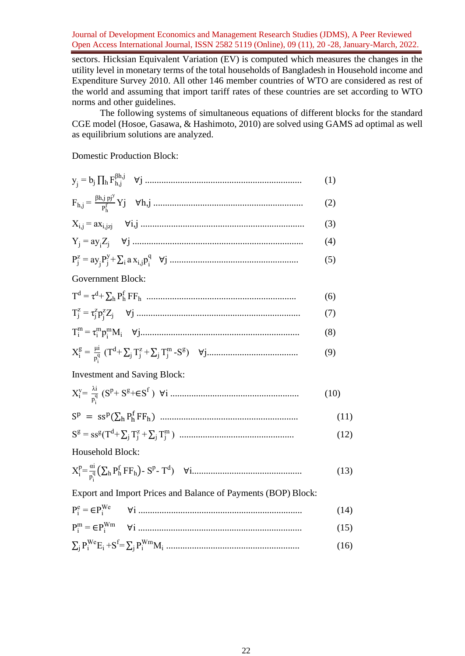sectors. Hicksian Equivalent Variation (EV) is computed which measures the changes in the utility level in monetary terms of the total households of Bangladesh in Household income and Expenditure Survey 2010. All other 146 member countries of WTO are considered as rest of the world and assuming that import tariff rates of these countries are set according to WTO norms and other guidelines.

The following systems of simultaneous equations of different blocks for the standard CGE model (Hosoe, Gasawa, & Hashimoto, 2010) are solved using GAMS ad optimal as well as equilibrium solutions are analyzed.

Domestic Production Block:

|                                                                           | (1)  |
|---------------------------------------------------------------------------|------|
| $F_{h,j} = \frac{\beta h, j \ p j^y}{p_i^f} Y j \quad \forall h, j \dots$ | (2)  |
|                                                                           | (3)  |
|                                                                           | (4)  |
|                                                                           | (5)  |
| Government Block:                                                         |      |
|                                                                           | (6)  |
|                                                                           | (7)  |
|                                                                           | (8)  |
|                                                                           | (9)  |
| <b>Investment and Saving Block:</b>                                       |      |
|                                                                           | (10) |
|                                                                           | (11) |
|                                                                           | (12) |
| Household Block:                                                          |      |
|                                                                           | (13) |
| Export and Import Prices and Balance of Payments (BOP) Block:             |      |
|                                                                           | (14) |
|                                                                           | (15) |
|                                                                           | (16) |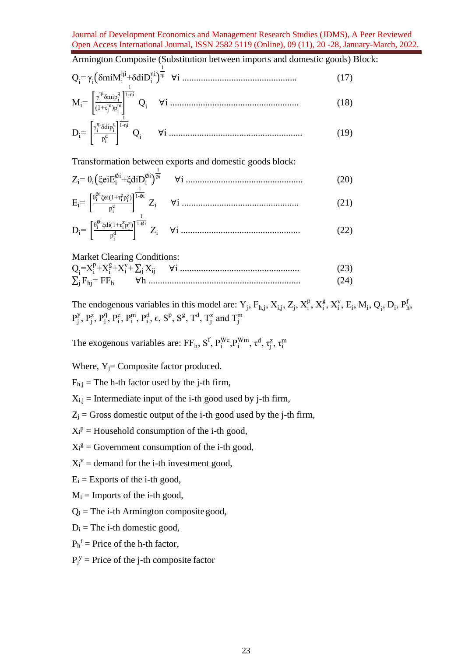Armington Composite (Substitution between imports and domestic goods) Block:

$$
Q_{i} = \gamma_{i} \left( \delta \text{min} M_{i}^{\text{ni}} + \delta \text{d} i D_{i}^{\text{ni}} \right)^{\frac{1}{\text{ni}}} \ \forall i \ \dots \tag{17}
$$
\n
$$
M_{i} = \begin{bmatrix} \frac{\gamma_{i}^{\text{ni}} \delta \text{min} \beta_{i}^{\text{q}}}{(1 + \tau_{j}^{\text{in}}) p_{i}^{\text{in}}} \end{bmatrix}^{\frac{1}{1 - \text{ni}}} Q_{i} \ \forall i \ \dots \tag{18}
$$
\n
$$
\int_{\gamma_{i}^{\text{ni}} \delta \text{d} i \alpha^{q}} \frac{1}{1 - \text{ni}}
$$

$$
D_i = \left[ \frac{\gamma_i^{n} \delta \text{dip}_i^q}{p_i^d} \right]^{1-n} Q_i \qquad \forall i \dots \dots \dots \dots \dots \dots \dots \dots \dots \dots \dots \dots \dots \dots \dots \dots \dots \tag{19}
$$

Transformation between exports and domestic goods block:

Zi= θi(ξeiE<sup>i</sup> ∅i +ξdiD<sup>i</sup> ∅i ) 1 ∅i ∀i .................................................. (20) Ei= [ θi ∅i ξei(1+τ<sup>i</sup> z pi z ) p i e ] 1 1-∅i Zi ∀i .................................................. (21) Di= [ θi ∅i ξdi(1+τ<sup>i</sup> z pi z ) p i d ] 1 1-∅i Zi ∀i ................................................... (22)

Market Clearing Conditions:

Qi =X<sup>i</sup> p +X<sup>i</sup> g +X<sup>i</sup> v + ∑<sup>j</sup> Xij ∀i ................................................... (23) ∑ Fhj= FF<sup>h</sup> <sup>j</sup> ∀h ................................................................. (24)

The endogenous variables in this model are:  $Y_j$ ,  $F_{h,j}$ ,  $X_{i,j}$ ,  $Z_j$ ,  $X_i^p$ ,  $X_i^g$ ,  $X_i^v$ ,  $E_i$ ,  $M_i$ ,  $Q_i$ ,  $D_i$ ,  $P_h^f$ ,  $P_j^y, P_j^z, P_i^q, P_i^e, P_i^m, P_i^d, \epsilon, S^p, S^g, T^d, T_j^z$  and  $T_j^m$ 

The exogenous variables are: FF<sub>h</sub>, S<sup>f</sup>, P<sup>We</sup>, P<sup>Wm</sup>,  $\tau^d$ ,  $\tau_j^z$ ,  $\tau_i^m$ 

Where,  $Y_i$ = Composite factor produced.

 $F_{h,j}$  = The h-th factor used by the j-th firm,

 $X_{i,j}$  = Intermediate input of the i-th good used by j-th firm,

 $Z_j$  = Gross domestic output of the i-th good used by the j-th firm,

 $X_i^p$  = Household consumption of the i-th good,

- $X_i^g$  = Government consumption of the i-th good,
- $X_i^v$  = demand for the i-th investment good,
- $E_i$  = Exports of the *i*-th good,

 $M_i$  = Imports of the i-th good,

 $Q_i$  = The i-th Armington composite good,

 $D_i$  = The i-th domestic good,

 $P_h^f$  = Price of the h-th factor,

 $P_j^y$  = Price of the j-th composite factor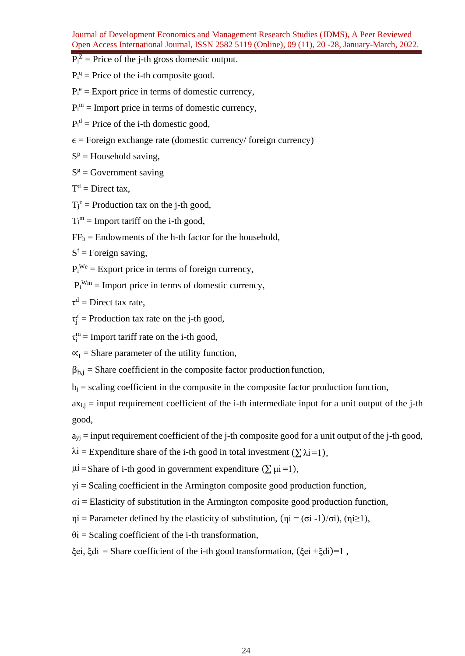- $P_j^Z$  = Price of the j-th gross domestic output.
- $P_i^q$  = Price of the i-th composite good.
- $P_i^e$  = Export price in terms of domestic currency,
- $P_i^m$  = Import price in terms of domestic currency,
- $P_i^d$  = Price of the i-th domestic good,
- $\epsilon$  = Foreign exchange rate (domestic currency/ foreign currency)
- $S<sup>p</sup>$  = Household saving,
- $S<sup>g</sup>$  = Government saving
- $T<sup>d</sup>$  = Direct tax,
- $T_j^z$  = Production tax on the j-th good,
- $T_i^m$  = Import tariff on the i-th good,
- $FF<sub>h</sub>$  = Endowments of the h-th factor for the household,

 $S<sup>f</sup>$  = Foreign saving,

- $P_i^{We}$  = Export price in terms of foreign currency,
- $P_i^{Wm}$  = Import price in terms of domestic currency,
- $\tau^d$  = Direct tax rate,
- $\tau_j^z$  = Production tax rate on the j-th good,
- $\tau_i^m$  = Import tariff rate on the i-th good,
- $\mathbf{x}_I$  = Share parameter of the utility function,
- $\beta_{h,i}$  = Share coefficient in the composite factor production function,
- $b_i$  = scaling coefficient in the composite in the composite factor production function,

 $ax_{i,j}$  = input requirement coefficient of the i-th intermediate input for a unit output of the j-th good,

- $a_{vi}$  = input requirement coefficient of the j-th composite good for a unit output of the j-th good,
- $\lambda i$  = Expenditure share of the i-th good in total investment ( $\sum \lambda i$  = 1),

 $\mu i$  = Share of i-th good in government expenditure ( $\Sigma \mu i$  = 1),

- $\gamma$ i = Scaling coefficient in the Armington composite good production function,
- $\sigma$ i = Elasticity of substitution in the Armington composite good production function,
- $ηi = Parameter defined by the elasticity of substitution, (ηi = (σi -1)/σi), (ηi ≥ 1),$
- $\theta$ i = Scaling coefficient of the i-th transformation,
- ξei, ξdi = Share coefficient of the i-th good transformation, (ξei +ξdi)=1 ,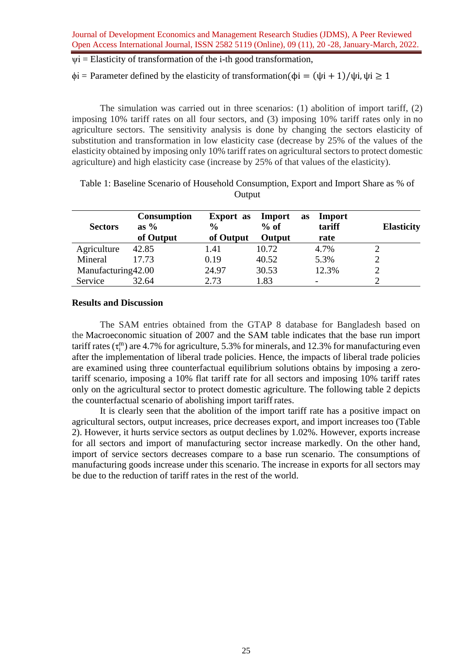$vi = Elasticity$  of transformation of the i-th good transformation,

 $\phi$ i = Parameter defined by the elasticity of transformation( $\phi$ i = ( $\psi$ i + 1)/ $\psi$ i,  $\psi$ i  $\geq$  1

The simulation was carried out in three scenarios: (1) abolition of import tariff, (2) imposing 10% tariff rates on all four sectors, and (3) imposing 10% tariff rates only in no agriculture sectors. The sensitivity analysis is done by changing the sectors elasticity of substitution and transformation in low elasticity case (decrease by 25% of the values of the elasticity obtained by imposing only 10% tariff rates on agricultural sectors to protect domestic agriculture) and high elasticity case (increase by 25% of that values of the elasticity).

| <b>Sectors</b>     | <b>Consumption</b><br>as $\%$<br>of Output | <b>Export</b> as<br>$\frac{6}{6}$<br>of Output | Import<br>$%$ of<br>Output | Import<br><b>as</b><br>tariff<br>rate | <b>Elasticity</b> |
|--------------------|--------------------------------------------|------------------------------------------------|----------------------------|---------------------------------------|-------------------|
| Agriculture        | 42.85                                      | 1.41                                           | 10.72                      | 4.7%                                  |                   |
| Mineral            | 17.73                                      | 0.19                                           | 40.52                      | 5.3%                                  |                   |
| Manufacturing42.00 |                                            | 24.97                                          | 30.53                      | 12.3%                                 |                   |
| Service            | 32.64                                      | 2.73                                           | 1.83                       | $\overline{\phantom{0}}$              |                   |

Table 1: Baseline Scenario of Household Consumption, Export and Import Share as % of **Output** 

### **Results and Discussion**

The SAM entries obtained from the GTAP 8 database for Bangladesh based on the Macroeconomic situation of 2007 and the SAM table indicates that the base run import tariff rates  $(\tau_i^m)$  are 4.7% for agriculture, 5.3% for minerals, and 12.3% for manufacturing even after the implementation of liberal trade policies. Hence, the impacts of liberal trade policies are examined using three counterfactual equilibrium solutions obtains by imposing a zerotariff scenario, imposing a 10% flat tariff rate for all sectors and imposing 10% tariff rates only on the agricultural sector to protect domestic agriculture. The following table 2 depicts the counterfactual scenario of abolishing import tariffrates.

It is clearly seen that the abolition of the import tariff rate has a positive impact on agricultural sectors, output increases, price decreases export, and import increases too (Table 2). However, it hurts service sectors as output declines by 1.02%. However, exports increase for all sectors and import of manufacturing sector increase markedly. On the other hand, import of service sectors decreases compare to a base run scenario. The consumptions of manufacturing goods increase under this scenario. The increase in exports for all sectors may be due to the reduction of tariff rates in the rest of the world.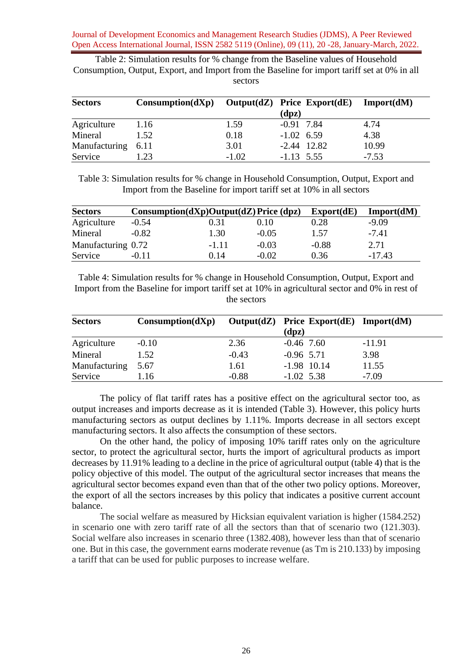Table 2: Simulation results for % change from the Baseline values of Household Consumption, Output, Export, and Import from the Baseline for import tariff set at 0% in all sectors

| <b>Sectors</b> | $Consumption(dXp)$ | $Output(dZ)$ Price Export $(dE)$ |              |               | Import(dM) |
|----------------|--------------------|----------------------------------|--------------|---------------|------------|
|                |                    |                                  | (dpz)        |               |            |
| Agriculture    | 1.16               | 1.59                             | $-0.91$ 7.84 |               | 4.74       |
| Mineral        | 1.52               | 0.18                             | $-1.02$ 6.59 |               | 4.38       |
| Manufacturing  | 6.11               | 3.01                             |              | $-2.44$ 12.82 | 10.99      |
| Service        | 1.23               | $-1.02$                          | $-1.13$ 5.55 |               | $-7.53$    |

Table 3: Simulation results for % change in Household Consumption, Output, Export and Import from the Baseline for import tariff set at 10% in all sectors

| <b>Sectors</b>     | $Consumption(dXp)Output(dZ) Price (dpz)$ |         |         | Export(dE) | Import(dM) |
|--------------------|------------------------------------------|---------|---------|------------|------------|
| Agriculture        | $-0.54$                                  | 0.31    | 0.10    | 0.28       | $-9.09$    |
| Mineral            | $-0.82$                                  | 1.30    | $-0.05$ | 1.57       | $-7.41$    |
| Manufacturing 0.72 |                                          | $-1.11$ | $-0.03$ | $-0.88$    | 2.71       |
| Service            | $-0.11$                                  | 0.14    | $-0.02$ | 0.36       | $-17.43$   |

Table 4: Simulation results for % change in Household Consumption, Output, Export and Import from the Baseline for import tariff set at 10% in agricultural sector and 0% in rest of the sectors

| <b>Sectors</b> | $Consumption(dXp)$ |         | $Output(dZ)$ Price Export(dE) Import(dM) |          |
|----------------|--------------------|---------|------------------------------------------|----------|
|                |                    |         | (dpz)                                    |          |
| Agriculture    | $-0.10$            | 2.36    | $-0.46$ 7.60                             | $-11.91$ |
| Mineral        | 1.52               | $-0.43$ | $-0.96$ 5.71                             | 3.98     |
| Manufacturing  | 5.67               | 1.61    | $-1.98$ 10.14                            | 11.55    |
| Service        | 1.16               | $-0.88$ | $-1.02$ 5.38                             | $-7.09$  |

The policy of flat tariff rates has a positive effect on the agricultural sector too, as output increases and imports decrease as it is intended (Table 3). However, this policy hurts manufacturing sectors as output declines by 1.11%. Imports decrease in all sectors except manufacturing sectors. It also affects the consumption of these sectors.

On the other hand, the policy of imposing 10% tariff rates only on the agriculture sector, to protect the agricultural sector, hurts the import of agricultural products as import decreases by 11.91% leading to a decline in the price of agricultural output (table 4) that is the policy objective of this model. The output of the agricultural sector increases that means the agricultural sector becomes expand even than that of the other two policy options. Moreover, the export of all the sectors increases by this policy that indicates a positive current account balance.

The social welfare as measured by Hicksian equivalent variation is higher (1584.252) in scenario one with zero tariff rate of all the sectors than that of scenario two (121.303). Social welfare also increases in scenario three (1382.408), however less than that of scenario one. But in this case, the government earns moderate revenue (as Tm is 210.133) by imposing a tariff that can be used for public purposes to increase welfare.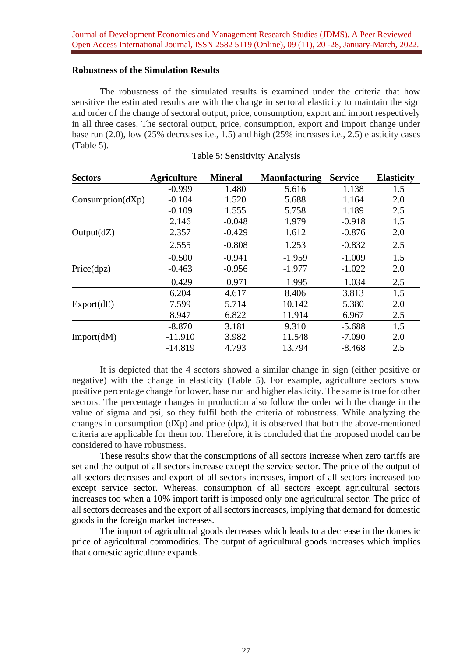# **Robustness of the Simulation Results**

The robustness of the simulated results is examined under the criteria that how sensitive the estimated results are with the change in sectoral elasticity to maintain the sign and order of the change of sectoral output, price, consumption, export and import respectively in all three cases. The sectoral output, price, consumption, export and import change under base run (2.0), low (25% decreases i.e., 1.5) and high (25% increases i.e., 2.5) elasticity cases (Table 5).

| <b>Sectors</b>   | <b>Agriculture</b> | <b>Mineral</b> | <b>Manufacturing</b> | <b>Service</b> | <b>Elasticity</b> |
|------------------|--------------------|----------------|----------------------|----------------|-------------------|
|                  | $-0.999$           | 1.480          | 5.616                | 1.138          | 1.5               |
| Consumption(dXp) | $-0.104$           | 1.520          | 5.688                | 1.164          | 2.0               |
|                  | $-0.109$           | 1.555          | 5.758                | 1.189          | 2.5               |
|                  | 2.146              | $-0.048$       | 1.979                | $-0.918$       | 1.5               |
| Output(dZ)       | 2.357              | $-0.429$       | 1.612                | $-0.876$       | 2.0               |
|                  | 2.555              | $-0.808$       | 1.253                | $-0.832$       | 2.5               |
|                  | $-0.500$           | $-0.941$       | $-1.959$             | $-1.009$       | 1.5               |
| Price(dpz)       | $-0.463$           | $-0.956$       | $-1.977$             | $-1.022$       | 2.0               |
|                  | $-0.429$           | $-0.971$       | $-1.995$             | $-1.034$       | 2.5               |
|                  | 6.204              | 4.617          | 8.406                | 3.813          | 1.5               |
| Export(dE)       | 7.599              | 5.714          | 10.142               | 5.380          | 2.0               |
|                  | 8.947              | 6.822          | 11.914               | 6.967          | 2.5               |
|                  | $-8.870$           | 3.181          | 9.310                | $-5.688$       | 1.5               |
| Import(dM)       | $-11.910$          | 3.982          | 11.548               | $-7.090$       | 2.0               |
|                  | $-14.819$          | 4.793          | 13.794               | $-8.468$       | 2.5               |

|  |  | Table 5: Sensitivity Analysis |  |
|--|--|-------------------------------|--|
|--|--|-------------------------------|--|

It is depicted that the 4 sectors showed a similar change in sign (either positive or negative) with the change in elasticity (Table 5). For example, agriculture sectors show positive percentage change for lower, base run and higher elasticity. The same is true for other sectors. The percentage changes in production also follow the order with the change in the value of sigma and psi, so they fulfil both the criteria of robustness. While analyzing the changes in consumption  $(dXp)$  and price  $(dpz)$ , it is observed that both the above-mentioned criteria are applicable for them too. Therefore, it is concluded that the proposed model can be considered to have robustness.

These results show that the consumptions of all sectors increase when zero tariffs are set and the output of all sectors increase except the service sector. The price of the output of all sectors decreases and export of all sectors increases, import of all sectors increased too except service sector. Whereas, consumption of all sectors except agricultural sectors increases too when a 10% import tariff is imposed only one agricultural sector. The price of all sectors decreases and the export of all sectors increases, implying that demand for domestic goods in the foreign market increases.

The import of agricultural goods decreases which leads to a decrease in the domestic price of agricultural commodities. The output of agricultural goods increases which implies that domestic agriculture expands.